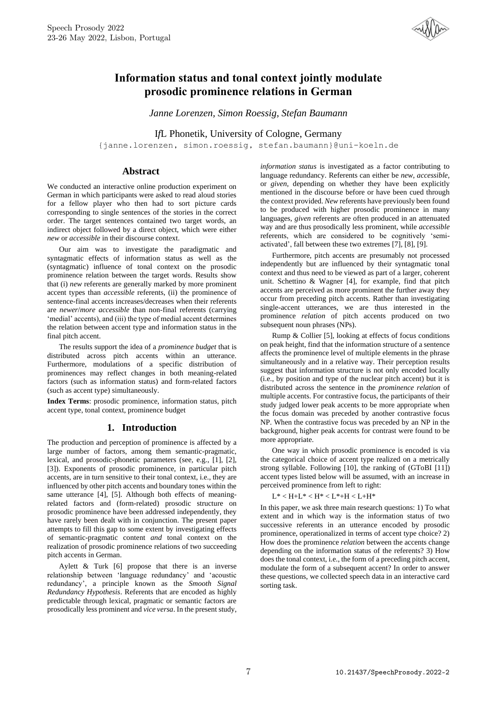

# **Information status and tonal context jointly modulate prosodic prominence relations in German**

*Janne Lorenzen, Simon Roessig, Stefan Baumann*

I*f*L Phonetik, University of Cologne, Germany

{janne.lorenzen, simon.roessig, stefan.baumann}@uni-koeln.de

### **Abstract**

We conducted an interactive online production experiment on German in which participants were asked to read aloud stories for a fellow player who then had to sort picture cards corresponding to single sentences of the stories in the correct order. The target sentences contained two target words, an indirect object followed by a direct object, which were either *new* or *accessible* in their discourse context.

Our aim was to investigate the paradigmatic and syntagmatic effects of information status as well as the (syntagmatic) influence of tonal context on the prosodic prominence relation between the target words. Results show that (i) *new* referents are generally marked by more prominent accent types than *accessible* referents, (ii) the prominence of sentence-final accents increases/decreases when their referents are *newer*/*more accessible* than non-final referents (carrying 'medial' accents), and (iii) the type of medial accent determines the relation between accent type and information status in the final pitch accent.

The results support the idea of a *prominence budget* that is distributed across pitch accents within an utterance. Furthermore, modulations of a specific distribution of prominences may reflect changes in both meaning-related factors (such as information status) and form-related factors (such as accent type) simultaneously.

**Index Terms**: prosodic prominence, information status, pitch accent type, tonal context, prominence budget

# **1. Introduction**

The production and perception of prominence is affected by a large number of factors, among them semantic-pragmatic, lexical, and prosodic-phonetic parameters (see, e.g., [1], [2], [3]). Exponents of prosodic prominence, in particular pitch accents, are in turn sensitive to their tonal context, i.e., they are influenced by other pitch accents and boundary tones within the same utterance [4], [5]. Although both effects of meaningrelated factors and (form-related) prosodic structure on prosodic prominence have been addressed independently, they have rarely been dealt with in conjunction. The present paper attempts to fill this gap to some extent by investigating effects of semantic-pragmatic content *and* tonal context on the realization of prosodic prominence relations of two succeeding pitch accents in German.

Aylett & Turk [6] propose that there is an inverse relationship between 'language redundancy' and 'acoustic redundancy', a principle known as the *Smooth Signal Redundancy Hypothesis*. Referents that are encoded as highly predictable through lexical, pragmatic or semantic factors are prosodically less prominent and *vice versa*. In the present study, *information status* is investigated as a factor contributing to language redundancy. Referents can either be *new*, *accessible,* or *given*, depending on whether they have been explicitly mentioned in the discourse before or have been cued through the context provided. *New* referents have previously been found to be produced with higher prosodic prominence in many languages, *given* referents are often produced in an attenuated way and are thus prosodically less prominent, while *accessible* referents, which are considered to be cognitively 'semiactivated', fall between these two extremes [7], [8], [9].

Furthermore, pitch accents are presumably not processed independently but are influenced by their syntagmatic tonal context and thus need to be viewed as part of a larger, coherent unit. Schettino & Wagner [4], for example, find that pitch accents are perceived as more prominent the further away they occur from preceding pitch accents. Rather than investigating single-accent utterances, we are thus interested in the prominence *relation* of pitch accents produced on two subsequent noun phrases (NPs).

Rump & Collier [5], looking at effects of focus conditions on peak height, find that the information structure of a sentence affects the prominence level of multiple elements in the phrase simultaneously and in a relative way. Their perception results suggest that information structure is not only encoded locally (i.e., by position and type of the nuclear pitch accent) but it is distributed across the sentence in the *prominence relation* of multiple accents. For contrastive focus, the participants of their study judged lower peak accents to be more appropriate when the focus domain was preceded by another contrastive focus NP. When the contrastive focus was preceded by an NP in the background, higher peak accents for contrast were found to be more appropriate.

One way in which prosodic prominence is encoded is via the categorical choice of accent type realized on a metrically strong syllable. Following [10], the ranking of (GToBI [11]) accent types listed below will be assumed, with an increase in perceived prominence from left to right:

$$
L^* < H + L^* < H^* < L^* + H < L + H^*
$$

In this paper, we ask three main research questions: 1) To what extent and in which way is the information status of two successive referents in an utterance encoded by prosodic prominence, operationalized in terms of accent type choice? 2) How does the prominence *relation* between the accents change depending on the information status of the referents? 3) How does the tonal context, i.e., the form of a preceding pitch accent, modulate the form of a subsequent accent? In order to answer these questions, we collected speech data in an interactive card sorting task.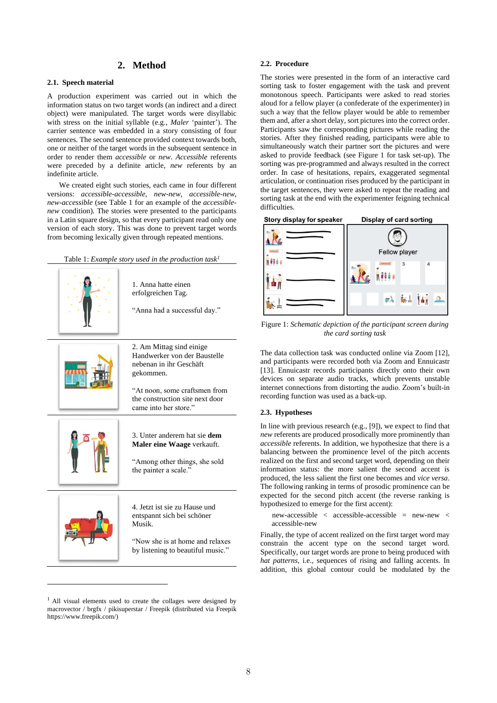# **2. Method**

# **2.1. Speech material**

A production experiment was carried out in which the information status on two target words (an indirect and a direct object) were manipulated. The target words were disyllabic with stress on the initial syllable (e.g., *Maler* 'painter'). The carrier sentence was embedded in a story consisting of four sentences. The second sentence provided context towards both, one or neither of the target words in the subsequent sentence in order to render them *accessible* or *new*. *Accessible* referents were preceded by a definite article, *new* referents by an indefinite article.

We created eight such stories, each came in four different versions: *accessible-accessible*, *new-new*, *accessible-new*, *new-accessible* (see Table 1 for an example of the *accessiblenew* condition). The stories were presented to the participants in a Latin square design, so that every participant read only one version of each story. This was done to prevent target words from becoming lexically given through repeated mentions.

Table 1: *Example story used in the production task<sup>1</sup>*



<sup>&</sup>lt;sup>1</sup> All visual elements used to create the collages were designed by macrovector / brgfx / pikisuperstar / Freepik (distributed via Freepik https://www.freepik.com/)

#### **2.2. Procedure**

The stories were presented in the form of an interactive card sorting task to foster engagement with the task and prevent monotonous speech. Participants were asked to read stories aloud for a fellow player (a confederate of the experimenter) in such a way that the fellow player would be able to remember them and, after a short delay, sort pictures into the correct order. Participants saw the corresponding pictures while reading the stories. After they finished reading, participants were able to simultaneously watch their partner sort the pictures and were asked to provide feedback (see Figure 1 for task set-up). The sorting was pre-programmed and always resulted in the correct order. In case of hesitations, repairs, exaggerated segmental articulation, or continuation rises produced by the participant in the target sentences, they were asked to repeat the reading and sorting task at the end with the experimenter feigning technical difficulties.



Figure 1: *Schematic depiction of the participant screen during the card sorting task*

The data collection task was conducted online via Zoom [12], and participants were recorded both via Zoom and Ennuicastr [13]. Ennuicastr records participants directly onto their own devices on separate audio tracks, which prevents unstable internet connections from distorting the audio. Zoom's built-in recording function was used as a back-up.

#### **2.3. Hypotheses**

In line with previous research (e.g., [9]), we expect to find that *new* referents are produced prosodically more prominently than *accessible* referents. In addition, we hypothesize that there is a balancing between the prominence level of the pitch accents realized on the first and second target word, depending on their information status: the more salient the second accent is produced, the less salient the first one becomes and *vice versa*. The following ranking in terms of prosodic prominence can be expected for the second pitch accent (the reverse ranking is hypothesized to emerge for the first accent):

new-accessible < accessible-accessible = new-new < accessible-new

Finally, the type of accent realized on the first target word may constrain the accent type on the second target word. Specifically, our target words are prone to being produced with *hat patterns*, i.e., sequences of rising and falling accents. In addition, this global contour could be modulated by the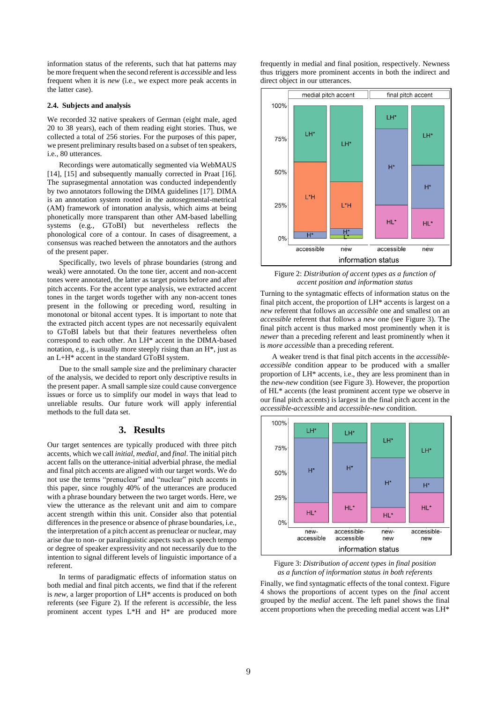information status of the referents, such that hat patterns may be more frequent when the second referent is *accessible* and less frequent when it is *new* (i.e., we expect more peak accents in the latter case).

#### **2.4. Subjects and analysis**

We recorded 32 native speakers of German (eight male, aged 20 to 38 years), each of them reading eight stories. Thus, we collected a total of 256 stories. For the purposes of this paper, we present preliminary results based on a subset of ten speakers, i.e., 80 utterances.

Recordings were automatically segmented via WebMAUS [14], [15] and subsequently manually corrected in Praat [16]. The suprasegmental annotation was conducted independently by two annotators following the DIMA guidelines [17]. DIMA is an annotation system rooted in the autosegmental-metrical (AM) framework of intonation analysis, which aims at being phonetically more transparent than other AM-based labelling systems (e.g., GToBI) but nevertheless reflects the phonological core of a contour. In cases of disagreement, a consensus was reached between the annotators and the authors of the present paper.

Specifically, two levels of phrase boundaries (strong and weak) were annotated. On the tone tier, accent and non-accent tones were annotated, the latter as target points before and after pitch accents. For the accent type analysis, we extracted accent tones in the target words together with any non-accent tones present in the following or preceding word, resulting in monotonal or bitonal accent types. It is important to note that the extracted pitch accent types are not necessarily equivalent to GToBI labels but that their features nevertheless often correspond to each other. An LH\* accent in the DIMA-based notation, e.g., is usually more steeply rising than an H\*, just as an L+H\* accent in the standard GToBI system.

Due to the small sample size and the preliminary character of the analysis, we decided to report only descriptive results in the present paper. A small sample size could cause convergence issues or force us to simplify our model in ways that lead to unreliable results. Our future work will apply inferential methods to the full data set.

### **3. Results**

Our target sentences are typically produced with three pitch accents, which we call *initial*, *medial,* and *final*. The initial pitch accent falls on the utterance-initial adverbial phrase, the medial and final pitch accents are aligned with our target words. We do not use the terms "prenuclear" and "nuclear" pitch accents in this paper, since roughly 40% of the utterances are produced with a phrase boundary between the two target words. Here, we view the utterance as the relevant unit and aim to compare accent strength within this unit. Consider also that potential differences in the presence or absence of phrase boundaries, i.e., the interpretation of a pitch accent as prenuclear or nuclear, may arise due to non- or paralinguistic aspects such as speech tempo or degree of speaker expressivity and not necessarily due to the intention to signal different levels of linguistic importance of a referent.

In terms of paradigmatic effects of information status on both medial and final pitch accents, we find that if the referent is *new*, a larger proportion of LH\* accents is produced on both referents (see Figure 2). If the referent is *accessible*, the less prominent accent types L\*H and H\* are produced more

frequently in medial and final position, respectively. Newness thus triggers more prominent accents in both the indirect and direct object in our utterances.



Figure 2: *Distribution of accent types as a function of accent position and information status*

Turning to the syntagmatic effects of information status on the final pitch accent, the proportion of LH\* accents is largest on a *new* referent that follows an *accessible* one and smallest on an *accessible* referent that follows a *new* one (see Figure 3). The final pitch accent is thus marked most prominently when it is *newer* than a preceding referent and least prominently when it is *more accessible* than a preceding referent.

A weaker trend is that final pitch accents in the *accessibleaccessible* condition appear to be produced with a smaller proportion of LH\* accents, i.e., they are less prominent than in the *new-new* condition (see Figure 3). However, the proportion of HL\* accents (the least prominent accent type we observe in our final pitch accents) is largest in the final pitch accent in the *accessible-accessible* and *accessible-new* condition.





Finally, we find syntagmatic effects of the tonal context. Figure 4 shows the proportions of accent types on the *final* accent grouped by the *medial* accent. The left panel shows the final accent proportions when the preceding medial accent was LH<sup>\*</sup>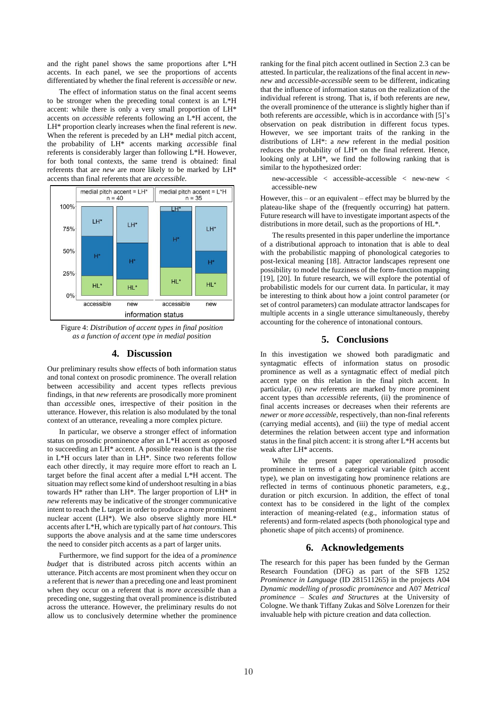and the right panel shows the same proportions after L\*H accents. In each panel, we see the proportions of accents differentiated by whether the final referent is *accessible* or *new*.

The effect of information status on the final accent seems to be stronger when the preceding tonal context is an L\*H accent: while there is only a very small proportion of LH\* accents on *accessible* referents following an L\*H accent, the LH\* proportion clearly increases when the final referent is *new*. When the referent is preceded by an LH\* medial pitch accent, the probability of LH\* accents marking *accessible* final referents is considerably larger than following L\*H. However, for both tonal contexts, the same trend is obtained: final referents that are *new* are more likely to be marked by LH\* accents than final referents that are *accessible*.



Figure 4: *Distribution of accent types in final position as a function of accent type in medial position*

# **4. Discussion**

Our preliminary results show effects of both information status and tonal context on prosodic prominence. The overall relation between accessibility and accent types reflects previous findings, in that *new* referents are prosodically more prominent than *accessible* ones, irrespective of their position in the utterance. However, this relation is also modulated by the tonal context of an utterance, revealing a more complex picture.

In particular, we observe a stronger effect of information status on prosodic prominence after an L\*H accent as opposed to succeeding an LH\* accent. A possible reason is that the rise in L\*H occurs later than in LH\*. Since two referents follow each other directly, it may require more effort to reach an L target before the final accent after a medial L\*H accent. The situation may reflect some kind of undershoot resulting in a bias towards H\* rather than LH\*. The larger proportion of LH\* in *new* referents may be indicative of the stronger communicative intent to reach the L target in order to produce a more prominent nuclear accent (LH\*). We also observe slightly more HL\* accents after L\*H, which are typically part of *hat contours*. This supports the above analysis and at the same time underscores the need to consider pitch accents as a part of larger units.

Furthermore, we find support for the idea of a *prominence budget* that is distributed across pitch accents within an utterance. Pitch accents are most prominent when they occur on a referent that is *newer* than a preceding one and least prominent when they occur on a referent that is *more accessible* than a preceding one, suggesting that overall prominence is distributed across the utterance. However, the preliminary results do not allow us to conclusively determine whether the prominence

ranking for the final pitch accent outlined in Section 2.3 can be attested. In particular, the realizations of the final accent in *newnew* and *accessible-accessible* seem to be different, indicating that the influence of information status on the realization of the individual referent is strong. That is, if both referents are *new*, the overall prominence of the utterance is slightly higher than if both referents are *accessible*, which is in accordance with [5]'s observation on peak distribution in different focus types. However, we see important traits of the ranking in the distributions of LH\*: a *new* referent in the medial position reduces the probability of LH\* on the final referent. Hence, looking only at LH\*, we find the following ranking that is similar to the hypothesized order:

new-accessible < accessible-accessible < new-new < accessible-new

However, this – or an equivalent – effect may be blurred by the plateau-like shape of the (frequently occurring) hat pattern. Future research will have to investigate important aspects of the distributions in more detail, such as the proportions of HL\*.

The results presented in this paper underline the importance of a distributional approach to intonation that is able to deal with the probabilistic mapping of phonological categories to post-lexical meaning [18]. Attractor landscapes represent one possibility to model the fuzziness of the form-function mapping [19], [20]. In future research, we will explore the potential of probabilistic models for our current data. In particular, it may be interesting to think about how a joint control parameter (or set of control parameters) can modulate attractor landscapes for multiple accents in a single utterance simultaneously, thereby accounting for the coherence of intonational contours.

# **5. Conclusions**

In this investigation we showed both paradigmatic and syntagmatic effects of information status on prosodic prominence as well as a syntagmatic effect of medial pitch accent type on this relation in the final pitch accent. In particular, (i) *new* referents are marked by more prominent accent types than *accessible* referents, (ii) the prominence of final accents increases or decreases when their referents are *newer* or *more accessible*, respectively, than non-final referents (carrying medial accents), and (iii) the type of medial accent determines the relation between accent type and information status in the final pitch accent: it is strong after L\*H accents but weak after LH\* accents.

While the present paper operationalized prosodic prominence in terms of a categorical variable (pitch accent type), we plan on investigating how prominence relations are reflected in terms of continuous phonetic parameters, e.g., duration or pitch excursion. In addition, the effect of tonal context has to be considered in the light of the complex interaction of meaning-related (e.g., information status of referents) and form-related aspects (both phonological type and phonetic shape of pitch accents) of prominence.

# **6. Acknowledgements**

The research for this paper has been funded by the German Research Foundation (DFG) as part of the SFB 1252 *Prominence in Language* (ID 281511265) in the projects A04 *Dynamic modelling of prosodic prominence* and A07 *Metrical prominence – Scales and Structure*s at the University of Cologne. We thank Tiffany Zukas and Sölve Lorenzen for their invaluable help with picture creation and data collection.